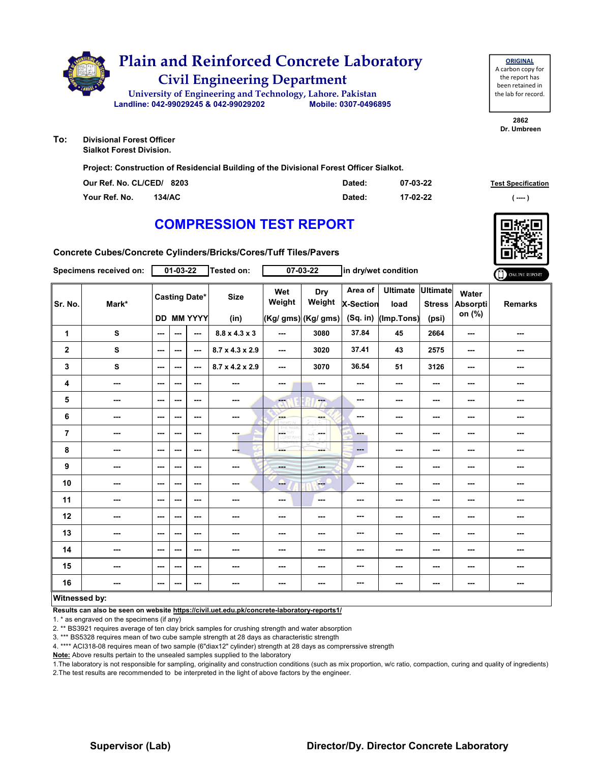

**ORIGINAL** A carbon copy for the report has been retained in the lab for record.

**2862 Dr. Umbreen**

**To: Divisional Forest Officer Sialkot Forest Division.**

**Project: Construction of Residencial Building of the Divisional Forest Officer Sialkot.**

| Our Ref. No. CL/CED/ 8203 |        | Dated: | 07-03-22 | <b>Test Specification</b> |
|---------------------------|--------|--------|----------|---------------------------|
| Your Ref. No.             | 134/AC | Dated: | 17-02-22 | ( ---- )                  |

# **COMPRESSION TEST REPORT**

**Concrete Cubes/Concrete Cylinders/Bricks/Cores/Tuff Tiles/Pavers**

|                | Specimens received on:   |               | 01-03-22 |                                    | <b>Tested on:</b>         |                  | 07-03-22                                    |                             | in dry/wet condition                            |                                           |                             | ONLINE REPORT  |
|----------------|--------------------------|---------------|----------|------------------------------------|---------------------------|------------------|---------------------------------------------|-----------------------------|-------------------------------------------------|-------------------------------------------|-----------------------------|----------------|
| Sr. No.        | Mark*                    |               |          | <b>Casting Date*</b><br>DD MM YYYY | <b>Size</b><br>(in)       | Wet<br>Weight    | <b>Dry</b><br>Weight<br>(Kg/ gms) (Kg/ gms) | Area of<br><b>X-Section</b> | <b>Ultimate</b><br>load<br>(Sq. in) (Imp. Tons) | <b>Ultimate</b><br><b>Stress</b><br>(psi) | Water<br>Absorpti<br>on (%) | <b>Remarks</b> |
| $\mathbf{1}$   | ${\bf s}$                | $\sim$        | ---      | $\sim$                             | $8.8 \times 4.3 \times 3$ | ---              | 3080                                        | 37.84                       | 45                                              | 2664                                      | ---                         | ---            |
| $\mathbf 2$    | ${\bf s}$                | $\sim$ $\sim$ | ---      | $\sim$ $\sim$                      | 8.7 x 4.3 x 2.9           | ---              | 3020                                        | 37.41                       | 43                                              | 2575                                      | $\cdots$                    | ---            |
| 3              | $\mathbf{s}$             | $\sim$        | $--$     | $\sim$ $\sim$                      | 8.7 x 4.2 x 2.9           | $--$             | 3070                                        | 36.54                       | 51                                              | 3126                                      | $\overline{\phantom{a}}$    | ---            |
| 4              | ---                      | $\sim$ $\sim$ | $--$     | $\overline{\phantom{a}}$           | $\overline{\phantom{a}}$  | ---              | ---                                         | ---                         | $--$                                            | ---                                       | ---                         | ---            |
| 5              | ---                      | $\sim$        | ---      | $\sim$ $\sim$                      | ---                       | ---              | ---                                         | $\sim$ $\sim$               | $--$                                            | ---                                       | ---                         | ---            |
| 6              | ---                      | ---           | ---      | ---                                | $\overline{\phantom{a}}$  | <b>SHOP</b>      |                                             | ---                         | $--$                                            | ---                                       | ---                         | ---            |
| $\overline{7}$ | $\sim$ $\sim$            | $\sim$ $\sim$ | ---      | $\sim$ $\sim$                      | <b>SHOP</b>               | les <sup>7</sup> | <b>Security</b>                             | <b>Barnet</b>               | $\sim$ $\sim$                                   | ---                                       | ---                         | ---            |
| 8              | ---                      | $\sim$        | ---      | $\sim$                             | ---                       | ---              | ---                                         | $\qquad \qquad \cdots$      | ---                                             | ---                                       | ---                         | ---            |
| 9              | ---                      | $\sim$        | ---      | $\sim$                             | $\overline{\phantom{a}}$  | ---              | ---                                         | $\sim$ $\sim$               | ---                                             | ---                                       | ---                         | ---            |
| 10             | ---                      | $\sim$        | ---      | $\sim$                             | $\overline{\phantom{a}}$  | --               | $\qquad \qquad -$                           | ---                         | ---                                             | ---                                       | ---                         | ---            |
| 11             | ---                      | $\sim$ $\sim$ | ---      | ---                                | ---                       | ---              | ---                                         | ---                         | ---                                             | ---                                       | ---                         | ---            |
| 12             | ---                      | $\sim$ $\sim$ | ---      | $\sim$ $\sim$                      | $\sim$ $\sim$             | ---              | $\sim$ $\sim$                               | ---                         | ---                                             | ---                                       | $\sim$ $\sim$               | ---            |
| 13             | ---                      | $\sim$ $\sim$ | ---      | $\sim$ $\sim$                      | ---                       | ---              | ---                                         | ---                         | ---                                             | ---                                       | $\sim$ $\sim$               | ---            |
| 14             | $\overline{\phantom{a}}$ | $\sim$        | $--$     | $\sim$                             | $\overline{\phantom{a}}$  | ---              | ---                                         | ---                         | $\overline{\phantom{a}}$                        | ---                                       | $\overline{\phantom{a}}$    | ---            |
| 15             | ---                      | $\sim$        | ---      | $\sim$                             | ---                       | ---              | ---                                         | ---                         | ---                                             | ---                                       | ---                         | ---            |
| 16             | ---                      | $\sim$ $\sim$ | ---      | $\sim$ $\sim$                      | ---                       | ---              | ---                                         | ---                         | ---                                             | ---                                       | ---                         | ---            |
| Witnessed by:  |                          |               |          |                                    |                           |                  |                                             |                             |                                                 |                                           |                             |                |

### **Witnessed by:**

**Results can also be seen on website https://civil.uet.edu.pk/concrete-laboratory-reports1/**

1. \* as engraved on the specimens (if any)

2. \*\* BS3921 requires average of ten clay brick samples for crushing strength and water absorption

3. \*\*\* BS5328 requires mean of two cube sample strength at 28 days as characteristic strength

4. \*\*\*\* ACI318-08 requires mean of two sample (6"diax12" cylinder) strength at 28 days as comprerssive strength

**Note:** Above results pertain to the unsealed samples supplied to the laboratory

1.The laboratory is not responsible for sampling, originality and construction conditions (such as mix proportion, w/c ratio, compaction, curing and quality of ingredients) 2.The test results are recommended to be interpreted in the light of above factors by the engineer.

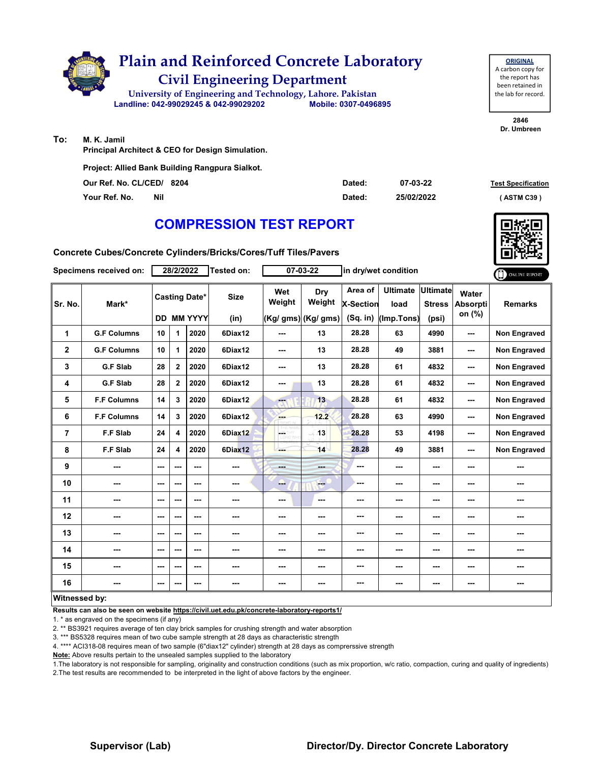

**Project: Allied Bank Building Rangpura Sialkot.**

| Our Ref. No. CL/CED/ 8204 | Dated: | 07-03-22   | <b>Test Specificati</b> |
|---------------------------|--------|------------|-------------------------|
| Your Ref. No.<br>Nil      | Dated: | 25/02/2022 | (ASTM C39)              |

# **COMPRESSION TEST REPORT**

**Concrete Cubes/Concrete Cylinders/Bricks/Cores/Tuff Tiles/Pavers**

|                      | Specimens received on: |     | 28/2/2022               |                                        | Tested on:          |                          | $07 - 03 - 22$                        |                                           | in dry/wet condition                  |                                           |                                    | ONLINE REPORT       |
|----------------------|------------------------|-----|-------------------------|----------------------------------------|---------------------|--------------------------|---------------------------------------|-------------------------------------------|---------------------------------------|-------------------------------------------|------------------------------------|---------------------|
| Sr. No.              | Mark*                  | DD. |                         | <b>Casting Date*</b><br><b>MM YYYY</b> | <b>Size</b><br>(in) | Wet<br>Weight            | Dry<br>Weight<br>$(Kg/gms)$ (Kg/ gms) | Area of<br><b>X-Section</b><br>$(Sq.$ in) | <b>Ultimate</b><br>load<br>(Imp.Tons) | <b>Ultimate</b><br><b>Stress</b><br>(psi) | Water<br><b>Absorpti</b><br>on (%) | <b>Remarks</b>      |
| 1                    | <b>G.F Columns</b>     | 10  | $\mathbf 1$             | 2020                                   | 6Diax12             | ---                      | 13                                    | 28.28                                     | 63                                    | 4990                                      | ---                                | <b>Non Engraved</b> |
| $\mathbf 2$          | <b>G.F Columns</b>     | 10  | 1                       | 2020                                   | 6Diax12             | $\overline{\phantom{a}}$ | 13                                    | 28.28                                     | 49                                    | 3881                                      | ---                                | <b>Non Engraved</b> |
| 3                    | <b>G.F Slab</b>        | 28  | $\mathbf{2}$            | 2020                                   | 6Diax12             | $\overline{\phantom{a}}$ | 13                                    | 28.28                                     | 61                                    | 4832                                      | ---                                | Non Engraved        |
| 4                    | <b>G.F Slab</b>        | 28  | $\mathbf{2}$            | 2020                                   | 6Diax12             | ---                      | 13                                    | 28.28                                     | 61                                    | 4832                                      | ---                                | <b>Non Engraved</b> |
| 5                    | <b>F.F Columns</b>     | 14  | 3                       | 2020                                   | 6Diax12             | ---                      | 13                                    | 28.28                                     | 61                                    | 4832                                      | ---                                | <b>Non Engraved</b> |
| 6                    | <b>F.F Columns</b>     | 14  | 3                       | 2020                                   | 6Diax12             | ---                      | 12.2                                  | 28.28                                     | 63                                    | 4990                                      | ---                                | Non Engraved        |
| $\overline{7}$       | <b>F.F Slab</b>        | 24  | $\overline{\mathbf{4}}$ | 2020                                   | 6Diax12             | Lн.                      | 13                                    | 28.28                                     | 53                                    | 4198                                      | ---                                | <b>Non Engraved</b> |
| 8                    | <b>F.F Slab</b>        | 24  | 4                       | 2020                                   | 6Diax12             | ---                      | 14                                    | 28.28                                     | 49                                    | 3881                                      | ---                                | <b>Non Engraved</b> |
| 9                    | ---                    | --- | $- - -$                 | ---                                    | ---                 | <b>House</b>             | ---                                   | ---                                       | ---                                   | ---                                       | ---                                | ---                 |
| 10                   | ---                    | --- | $--$                    | ---                                    | ---                 | --                       | ---                                   | ---                                       | ---                                   | ---                                       |                                    |                     |
| 11                   | ---                    | --- | $\sim$ $\sim$           | ---                                    |                     | $\sim$ $\sim$            | ---                                   | ---                                       | ---                                   | $\sim$ $\sim$                             | ---                                | ---                 |
| 12                   | ---                    | --- | ---                     | ---                                    | ---                 | ---                      | ---                                   | ---                                       | ---                                   | ---                                       | ---                                | ---                 |
| 13                   | ---                    | --- | ---                     | ---                                    | ---                 | ---                      | ---                                   | ---                                       | ---                                   | ---                                       | ---                                | ---                 |
| 14                   | ---                    | --- | $\sim$ $\sim$           | ---                                    | ---                 | ---                      | ---                                   | ---                                       | ---                                   | $\overline{\phantom{a}}$                  | ---                                |                     |
| 15                   | ---                    | --- | $- - -$                 | ---                                    | ---                 | ---                      | ---                                   | ---                                       | ---                                   | $\sim$                                    | ---                                | ---                 |
| 16                   |                        | --- | ---                     | $--$                                   | ---                 | $\overline{\phantom{a}}$ | ---                                   | ---                                       | ---                                   | $\sim$                                    | ---                                | ---                 |
| <b>Witnessed by:</b> |                        |     |                         |                                        |                     |                          |                                       |                                           |                                       |                                           |                                    |                     |

#### **Witnessed by:**

**Results can also be seen on website https://civil.uet.edu.pk/concrete-laboratory-reports1/**

1. \* as engraved on the specimens (if any)

2. \*\* BS3921 requires average of ten clay brick samples for crushing strength and water absorption

3. \*\*\* BS5328 requires mean of two cube sample strength at 28 days as characteristic strength

4. \*\*\*\* ACI318-08 requires mean of two sample (6"diax12" cylinder) strength at 28 days as comprerssive strength

**Note:** Above results pertain to the unsealed samples supplied to the laboratory

1.The laboratory is not responsible for sampling, originality and construction conditions (such as mix proportion, w/c ratio, compaction, curing and quality of ingredients) 2.The test results are recommended to be interpreted in the light of above factors by the engineer.

**Test Specification**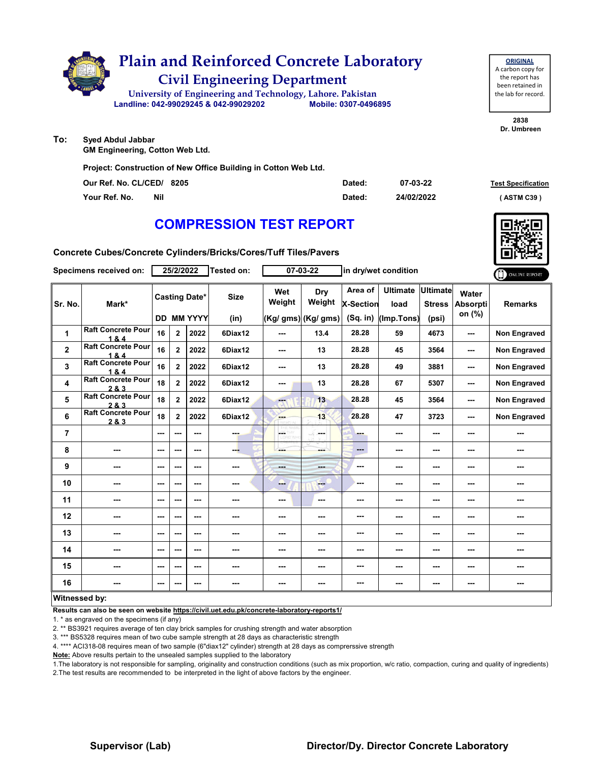

**To: Syed Abdul Jabbar**

**GM Engineering, Cotton Web Ltd.**

**Project: Construction of New Office Building in Cotton Web Ltd.**

| Our Ref. No. CL/CED/ 8205 |            | Dated: | 07-03-22   | <b>Test Specification</b> |
|---------------------------|------------|--------|------------|---------------------------|
| Your Ref. No.             | <b>Nil</b> | Dated: | 24/02/2022 | (ASTM C39)                |

# **COMPRESSION TEST REPORT**

**Concrete Cubes/Concrete Cylinders/Bricks/Cores/Tuff Tiles/Pavers**

|                      | Specimens received on:             |     | 25/2/2022                |                      | Tested on:  |               | $07 - 03 - 22$       | in dry/wet condition |                         |                                  |                                    | ONLINE REPORT       |
|----------------------|------------------------------------|-----|--------------------------|----------------------|-------------|---------------|----------------------|----------------------|-------------------------|----------------------------------|------------------------------------|---------------------|
| Sr. No.              | Mark*                              |     |                          | <b>Casting Date*</b> | <b>Size</b> | Wet<br>Weight | <b>Dry</b><br>Weight | Area of<br>X-Section | <b>Ultimate</b><br>load | <b>Ultimate</b><br><b>Stress</b> | Water<br><b>Absorpti</b><br>on (%) | <b>Remarks</b>      |
|                      |                                    |     |                          | <b>DD MM YYYY</b>    | (in)        |               | (Kg/ gms) (Kg/ gms)  | $(Sq.$ in)           | (Imp.Tons)              | (psi)                            |                                    |                     |
| $\mathbf{1}$         | <b>Raft Concrete Pour</b><br>1&4   | 16  | $\mathbf{2}$             | 2022                 | 6Diax12     | ---           | 13.4                 | 28.28                | 59                      | 4673                             | ---                                | <b>Non Engraved</b> |
| $\mathbf{2}$         | <b>Raft Concrete Pour</b><br>1&4   | 16  | $\overline{2}$           | 2022                 | 6Diax12     | ---           | 13                   | 28.28                | 45                      | 3564                             | ---                                | <b>Non Engraved</b> |
| 3                    | <b>Raft Concrete Pour</b><br>1&4   | 16  | $\mathbf{2}$             | 2022                 | 6Diax12     | ---           | 13                   | 28.28                | 49                      | 3881                             | ---                                | <b>Non Engraved</b> |
| 4                    | <b>Raft Concrete Pour</b><br>2 & 3 | 18  | $\overline{2}$           | 2022                 | 6Diax12     | ---           | 13                   | 28.28                | 67                      | 5307                             | ---                                | <b>Non Engraved</b> |
| 5                    | <b>Raft Concrete Pour</b><br>2 & 3 | 18  | $\overline{2}$           | 2022                 | 6Diax12     | ---           | 13                   | 28.28                | 45                      | 3564                             | ---                                | <b>Non Engraved</b> |
| 6                    | <b>Raft Concrete Pour</b><br>2 & 3 | 18  | $\mathbf{2}$             | 2022                 | 6Diax12     | <b>House</b>  | 13                   | 28.28                | 47                      | 3723                             | ---                                | <b>Non Engraved</b> |
| $\overline{7}$       |                                    | --- | $\overline{\phantom{a}}$ | ---                  | ---         | L.            | ---                  | ---                  | ---                     | ---                              | ---                                |                     |
| 8                    | ---                                | --- | $\sim$ $\sim$            | ---                  | ---         |               | ---                  | $---$                | ---                     | ---                              | ---                                | ---                 |
| 9                    | ---                                | --- | ---                      | ---                  | ---         | ---           | ---                  | ---                  | ---                     | ---                              | ---                                | ---                 |
| 10                   | ---                                | --- | ---                      | ---                  | ---         | ---           | ---                  | ---                  | ---                     | ---                              | ---                                | ---                 |
| 11                   | ---                                | --- | $\overline{\phantom{a}}$ | $--$                 | ---         | ---           | ---                  | ---                  | ---                     | ---                              |                                    | ---                 |
| 12                   | ---                                | --- | ---                      | ---                  | ---         | ---           | ---                  | ---                  | ---                     | ---                              | ---                                | ---                 |
| 13                   | ---                                | --- | ---                      | ---                  | ---         | ---           |                      | ---                  | ---                     | ---                              |                                    |                     |
| 14                   | ---                                | --- | $\sim$ $\sim$            | ---                  | ---         | ---           | ---                  | ---                  | ---                     | ---                              | ---                                | ---                 |
| 15                   | ---                                | --- | ---                      | ---                  | ---         | ---           | ---                  | ---                  | ---                     | ---                              | ---                                | ---                 |
| 16                   |                                    | --- | ---                      | ---                  |             | ---           | ---                  | ---                  | ---                     | ---                              | ---                                | ---                 |
| <b>Witnessed by:</b> |                                    |     |                          |                      |             |               |                      |                      |                         |                                  |                                    |                     |

### **Witnessed by:**

**Results can also be seen on website https://civil.uet.edu.pk/concrete-laboratory-reports1/**

1. \* as engraved on the specimens (if any)

2. \*\* BS3921 requires average of ten clay brick samples for crushing strength and water absorption

3. \*\*\* BS5328 requires mean of two cube sample strength at 28 days as characteristic strength

4. \*\*\*\* ACI318-08 requires mean of two sample (6"diax12" cylinder) strength at 28 days as comprerssive strength

**Note:** Above results pertain to the unsealed samples supplied to the laboratory

1.The laboratory is not responsible for sampling, originality and construction conditions (such as mix proportion, w/c ratio, compaction, curing and quality of ingredients) 2.The test results are recommended to be interpreted in the light of above factors by the engineer.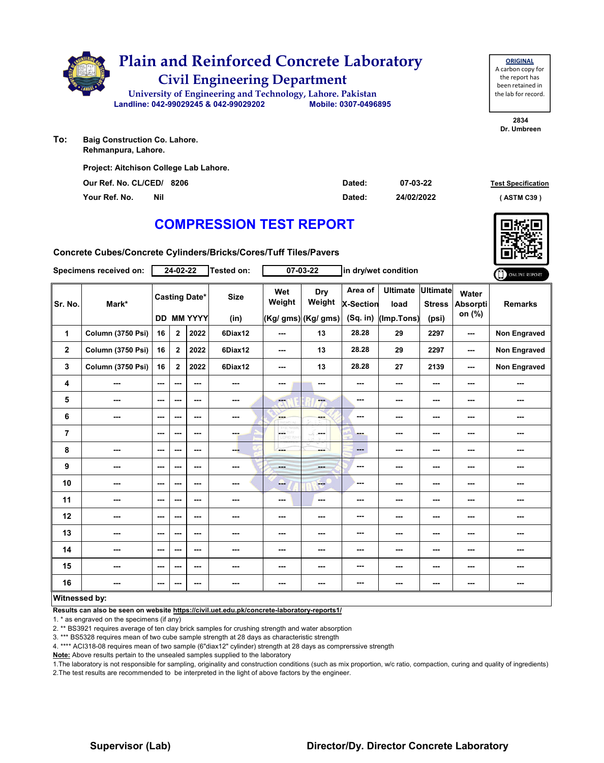

**To: Baig Construction Co. Lahore. Rehmanpura, Lahore.**

| Our Ref. No. CL/CED/ 8206 |     | Dated: | 07-03-22   | <b>Test Specification</b> |
|---------------------------|-----|--------|------------|---------------------------|
| Your Ref. No.             | Nil | Dated: | 24/02/2022 | (ASTM C39)                |

# **COMPRESSION TEST REPORT**

**Concrete Cubes/Concrete Cylinders/Bricks/Cores/Tuff Tiles/Pavers**

|                      | Specimens received on:   |                          | 24-02-22                 |                                        | <b>Tested on:</b>   |                          | $07 - 03 - 22$                       |                                         | in dry/wet condition                  |                                           |                             | ONLINE REPORT       |
|----------------------|--------------------------|--------------------------|--------------------------|----------------------------------------|---------------------|--------------------------|--------------------------------------|-----------------------------------------|---------------------------------------|-------------------------------------------|-----------------------------|---------------------|
| Sr. No.              | Mark*                    | DD                       |                          | <b>Casting Date*</b><br><b>MM YYYY</b> | <b>Size</b><br>(in) | Wet<br>Weight            | Dry<br>Weight<br>(Kg/ gms) (Kg/ gms) | Area of<br><b>X-Section</b><br>(Sq. in) | <b>Ultimate</b><br>load<br>(Imp.Tons) | <b>Ultimate</b><br><b>Stress</b><br>(psi) | Water<br>Absorpti<br>on (%) | <b>Remarks</b>      |
| 1                    | Column (3750 Psi)        | 16                       | $2^{\circ}$              | 2022                                   | 6Diax12             | $\overline{\phantom{a}}$ | 13                                   | 28.28                                   | 29                                    | 2297                                      | ---                         | Non Engraved        |
| $\mathbf{2}$         | <b>Column (3750 Psi)</b> | 16                       | $\overline{2}$           | 2022                                   | 6Diax12             | ---                      | 13                                   | 28.28                                   | 29                                    | 2297                                      | $\overline{\phantom{a}}$    | Non Engraved        |
| 3                    | <b>Column (3750 Psi)</b> | 16                       | $\mathbf{2}$             | 2022                                   | 6Diax12             | $\overline{\phantom{a}}$ | 13                                   | 28.28                                   | 27                                    | 2139                                      | ---                         | <b>Non Engraved</b> |
| 4                    | ---                      | ---                      | $\sim$ $\sim$            | $--$                                   | ---                 | ---                      | ---                                  | ---                                     | ---                                   | $\overline{\phantom{a}}$                  | ---                         | ---                 |
| 5                    | ---                      | ---                      | $\sim$ $\sim$            | ---                                    | ---                 | $-1$                     | ---                                  | ---                                     | ---                                   | $\sim$                                    | ---                         | ---                 |
| 6                    | ---                      | ---                      | $- - -$                  | ---                                    | ---                 | <b>Service</b>           | ---                                  | ---                                     | ---                                   | ---                                       | ---                         | ---                 |
| $\overline{7}$       |                          | ---                      | $- - -$                  | $--$                                   | ---                 | ÷                        | in mar                               | -                                       | ---                                   | ---                                       | ---                         | ---                 |
| 8                    | ---                      | ---                      | $\sim$ $\sim$            | $--$                                   | ---                 |                          | ---                                  | $---$                                   | ---                                   | $\sim$ $\sim$                             | ---                         | ---                 |
| 9                    | ---                      | ---                      | $\overline{\phantom{a}}$ | $--$                                   | ---                 | <b>House</b>             | ---                                  | ---                                     | ---                                   | $\overline{\phantom{a}}$                  | ---                         | ---                 |
| 10                   | ---                      | ---                      | $\overline{\phantom{a}}$ | $--$                                   | ---                 | ---                      | ---                                  | ---                                     | ---                                   | $\overline{\phantom{a}}$                  | ---                         | ---                 |
| 11                   | ---                      | ---                      | $\overline{\phantom{a}}$ | ---                                    |                     | $\cdots$                 | ---                                  | ---                                     | ---                                   | $\cdots$                                  | ---                         | ---                 |
| 12                   | ---                      | $\overline{\phantom{a}}$ | $- - -$                  | ---                                    | ---                 | ---                      | ---                                  | ---                                     | ---                                   | ---                                       | ---                         | ---                 |
| 13                   | ---                      | ---                      | ---                      | ---                                    | ---                 | ---                      | ---                                  | ---                                     | ---                                   | ---                                       | ---                         | ---                 |
| 14                   | ---                      | ---                      | $\sim$ $\sim$            | $--$                                   | ---                 | ---                      | ---                                  | ---                                     | ---                                   | ---                                       | ---                         | ---                 |
| 15                   | ---                      | $\overline{\phantom{a}}$ | $\sim$                   | ---                                    | ---                 | ---                      | ---                                  | ---                                     | ---                                   | $\overline{\phantom{a}}$                  | ---                         | ---                 |
| 16                   |                          | ---                      | ---                      | ---                                    | ---                 | ---                      | ---                                  | ---                                     | ---                                   | $\cdots$                                  | ---                         | ---                 |
| <b>Witnessed by:</b> |                          |                          |                          |                                        |                     |                          |                                      |                                         |                                       |                                           |                             |                     |

### **Witnessed by:**

**Results can also be seen on website https://civil.uet.edu.pk/concrete-laboratory-reports1/**

1. \* as engraved on the specimens (if any)

2. \*\* BS3921 requires average of ten clay brick samples for crushing strength and water absorption

3. \*\*\* BS5328 requires mean of two cube sample strength at 28 days as characteristic strength

4. \*\*\*\* ACI318-08 requires mean of two sample (6"diax12" cylinder) strength at 28 days as comprerssive strength

**Note:** Above results pertain to the unsealed samples supplied to the laboratory

1.The laboratory is not responsible for sampling, originality and construction conditions (such as mix proportion, w/c ratio, compaction, curing and quality of ingredients) 2.The test results are recommended to be interpreted in the light of above factors by the engineer.

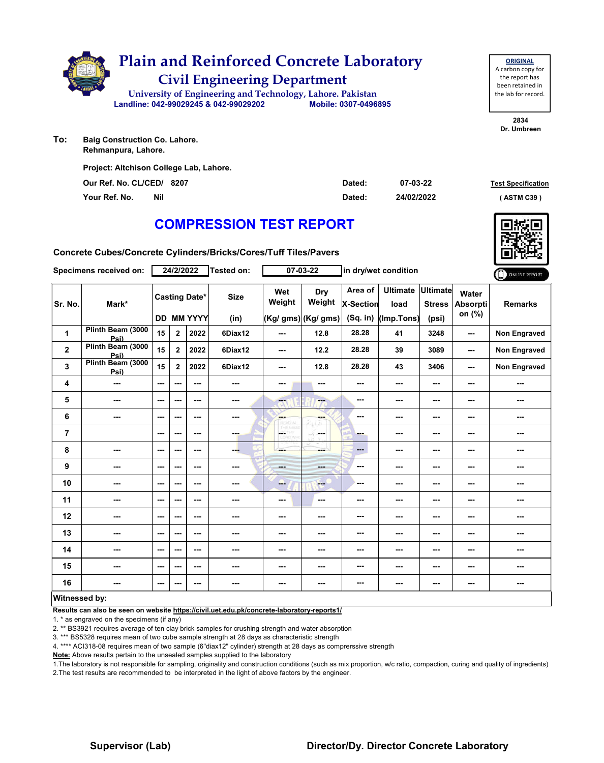

**Rehmanpura, Lahore.**

**Project: Aitchison College Lab, Lahore.**

**Our Ref. No. CL/CED/ Dated: Test Specification 8207 Your Ref. No. Nil Dated: ( ASTM C39 )**

# **COMPRESSION TEST REPORT**

**Concrete Cubes/Concrete Cylinders/Bricks/Cores/Tuff Tiles/Pavers**

|                | Specimens received on:    |     | 24/2/2022                |                                           | Tested on:          |                          | $07 - 03 - 22$                       |                                         | in dry/wet condition                  |                                           |                                    | ONLINE REPORT       |
|----------------|---------------------------|-----|--------------------------|-------------------------------------------|---------------------|--------------------------|--------------------------------------|-----------------------------------------|---------------------------------------|-------------------------------------------|------------------------------------|---------------------|
| Sr. No.        | Mark*                     |     |                          | <b>Casting Date*</b><br><b>DD MM YYYY</b> | <b>Size</b><br>(in) | Wet<br>Weight            | Dry<br>Weight<br>(Kg/ gms) (Kg/ gms) | Area of<br><b>X-Section</b><br>(Sq. in) | <b>Ultimate</b><br>load<br>(Imp.Tons) | <b>Ultimate</b><br><b>Stress</b><br>(psi) | Water<br><b>Absorpti</b><br>on (%) | <b>Remarks</b>      |
| 1              | Plinth Beam (3000<br>Psi) | 15  | $\overline{2}$           | 2022                                      | 6Diax12             | ---                      | 12.8                                 | 28.28                                   | 41                                    | 3248                                      | ---                                | Non Engraved        |
| $\mathbf{2}$   | Plinth Beam (3000<br>Psi) | 15  | $\overline{2}$           | 2022                                      | 6Diax12             | $\overline{\phantom{a}}$ | 12.2                                 | 28.28                                   | 39                                    | 3089                                      | $\sim$                             | Non Engraved        |
| 3              | Plinth Beam (3000<br>Psi) | 15  | $\overline{2}$           | 2022                                      | 6Diax12             | ---                      | 12.8                                 | 28.28                                   | 43                                    | 3406                                      | ---                                | <b>Non Engraved</b> |
| 4              | ---                       | --- | $- - -$                  | ---                                       | ---                 | ---                      | ---                                  | ---                                     | ---                                   | ---                                       | ---                                | ---                 |
| 5              | ---                       | --- | ---                      | $- - -$                                   | ---                 | <b>Head</b>              | ---                                  | ---                                     | ---                                   | ---                                       | ---                                | ---                 |
| 6              | ---                       | --- | ---                      | ---                                       | ---                 | <b>Bar</b>               | ---                                  | ---                                     | ---                                   | ---                                       | ---                                | ---                 |
| $\overline{7}$ |                           | --- | $\overline{\phantom{a}}$ | $--$                                      | ---                 | <b>LOETHY</b><br>LORD WH | ---                                  | ---                                     | ---                                   | ---                                       |                                    | ---                 |
| 8              | ---                       | --- | $\overline{\phantom{a}}$ | $--$                                      | ---                 |                          | ---                                  | $\qquad \qquad \cdots$                  | ---                                   | ---                                       | ---                                | ---                 |
| 9              | ---                       | --- | ---                      | $--$                                      | ---                 | <b>House</b>             | ---                                  | ---                                     | ---                                   | ---                                       |                                    | ---                 |
| 10             | ---                       | --- | ---                      | ---                                       |                     | --                       | ---                                  | ---                                     | ---                                   | ---                                       |                                    | ---                 |
| 11             | ---                       | --- | $\overline{\phantom{a}}$ | $--$                                      |                     | ---                      | ---                                  | ---                                     | ---                                   | ---                                       |                                    | ---                 |
| 12             | ---                       | --- | ---                      | $--$                                      | ---                 | ---                      | ---                                  | ---                                     | ---                                   | ---                                       | ---                                | ---                 |
| 13             | ---                       | --- | ---                      | ---                                       |                     | ---                      | ---                                  | ---                                     | ---                                   | ---                                       | ---                                | ---                 |
| 14             | ---                       | --- | ---                      | ---                                       | ---                 | ---                      | ---                                  | ---                                     | ---                                   | ---                                       | ---                                | ---                 |
| 15             | ---                       | --- | $\sim$ $\sim$            | $--$                                      | ---                 | ---                      | ---                                  | ---                                     | ---                                   | ---                                       | ---                                | ---                 |
| 16             | ---                       | --- | ---                      | ---                                       | ---                 | ---                      | ---                                  | ---                                     | ---                                   | ---                                       |                                    |                     |
| Witnessed hy   |                           |     |                          |                                           |                     |                          |                                      |                                         |                                       |                                           |                                    |                     |

### **Witnessed by:**

**Results can also be seen on website https://civil.uet.edu.pk/concrete-laboratory-reports1/**

1. \* as engraved on the specimens (if any)

2. \*\* BS3921 requires average of ten clay brick samples for crushing strength and water absorption

3. \*\*\* BS5328 requires mean of two cube sample strength at 28 days as characteristic strength

4. \*\*\*\* ACI318-08 requires mean of two sample (6"diax12" cylinder) strength at 28 days as comprerssive strength

**Note:** Above results pertain to the unsealed samples supplied to the laboratory

1.The laboratory is not responsible for sampling, originality and construction conditions (such as mix proportion, w/c ratio, compaction, curing and quality of ingredients) 2.The test results are recommended to be interpreted in the light of above factors by the engineer.

## **Supervisor (Lab) Director/Dy. Director Concrete Laboratory**

**07-03-22 24/02/2022**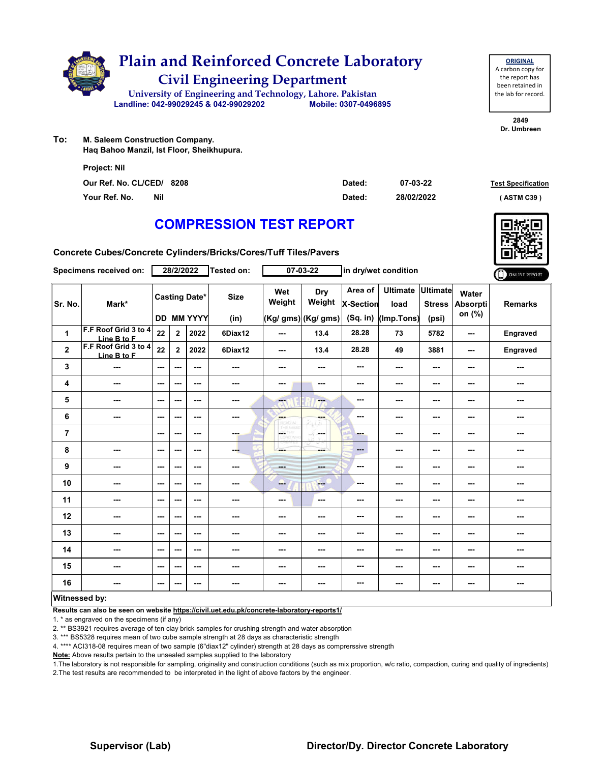

| <b>ORIGINAL</b>     |  |  |  |  |  |  |  |  |
|---------------------|--|--|--|--|--|--|--|--|
| A carbon copy for   |  |  |  |  |  |  |  |  |
| the report has      |  |  |  |  |  |  |  |  |
| been retained in    |  |  |  |  |  |  |  |  |
| the lab for record. |  |  |  |  |  |  |  |  |
|                     |  |  |  |  |  |  |  |  |

**2849 Dr. Umbreen**

**To: M. Saleem Construction Company. Haq Bahoo Manzil, Ist Floor, Sheikhupura.**

| <b>Project: Nil</b>       |            |        |            |                           |
|---------------------------|------------|--------|------------|---------------------------|
| Our Ref. No. CL/CED/ 8208 |            | Dated: | 07-03-22   | <b>Test Specification</b> |
| Your Ref. No.             | <b>Nil</b> | Dated: | 28/02/2022 | (ASTM C39)                |

# **COMPRESSION TEST REPORT**

**Concrete Cubes/Concrete Cylinders/Bricks/Cores/Tuff Tiles/Pavers**

| Specimens received on:  |                                     | 28/2/2022     |                |                                           | Tested on:               | in dry/wet condition<br>07-03-22 |                                      |                                           | ONLINE REPORT                         |                                           |                                    |                |
|-------------------------|-------------------------------------|---------------|----------------|-------------------------------------------|--------------------------|----------------------------------|--------------------------------------|-------------------------------------------|---------------------------------------|-------------------------------------------|------------------------------------|----------------|
| Sr. No.                 | Mark*                               |               |                | <b>Casting Date*</b><br><b>DD MM YYYY</b> | <b>Size</b><br>(in)      | Wet<br>Weight                    | Dry<br>Weight<br>(Kg/ gms) (Kg/ gms) | Area of<br><b>X-Section</b><br>$(Sq.$ in) | <b>Ultimate</b><br>load<br>(Imp.Tons) | <b>Ultimate</b><br><b>Stress</b><br>(psi) | Water<br><b>Absorpti</b><br>on (%) | <b>Remarks</b> |
| $\mathbf{1}$            | F.F Roof Grid 3 to 4<br>Line B to F | 22            | $\mathbf{2}$   | 2022                                      | 6Diax12                  | ---                              | 13.4                                 | 28.28                                     | 73                                    | 5782                                      | ---                                | Engraved       |
| $\mathbf{2}$            | F.F Roof Grid 3 to 4<br>Line B to F | 22            | $\overline{2}$ | 2022                                      | 6Diax12                  | ---                              | 13.4                                 | 28.28                                     | 49                                    | 3881                                      | $\sim$ $\sim$                      | Engraved       |
| 3                       | ---                                 | ---           | ---            | $--$                                      | $\cdots$                 | ---                              | ---                                  | ---                                       | ---                                   | $--$                                      | ---                                | ---            |
| 4                       | ---                                 | $--$          | ---            | ---                                       | ---                      | ---                              | ---                                  | ---                                       | ---                                   | ---                                       | ---                                | ---            |
| 5                       | ---                                 | ---           | ---            | ---                                       | ---                      | ---                              | ---                                  | ---                                       | ---                                   | ---                                       | ---                                | ---            |
| 6                       | ---                                 | ---           | ---            | $- - -$                                   | $\cdots$                 | <b>SHOP</b><br><b>READ</b>       | ---                                  | ---                                       | ---                                   | $--$                                      | ---                                | ---            |
| $\overline{\mathbf{r}}$ |                                     | $\sim$ $\sim$ | ---            | ---                                       | ---                      | L.<br>88                         | <b>Service</b>                       | ---                                       | ---                                   | ---                                       | ---                                | ---            |
| 8                       | ---                                 | $\sim$ $\sim$ | ---            | ---                                       | ---                      | ---                              | ---                                  | ---                                       | ---                                   | ---                                       | ---                                | ---            |
| 9                       | ---                                 | $--$          | ---            | $--$                                      | ---                      | <b>Basic</b>                     | ---                                  | ---                                       | ---                                   | ---                                       | ---                                | ---            |
| 10                      | $\overline{\phantom{a}}$            | $\sim$ $\sim$ | ---            | $--$                                      | ---                      | ---                              | $-1$                                 | ---                                       | ---                                   | ---                                       | ---                                | ---            |
| 11                      | ---                                 | ---           | ---            | ---                                       | ---                      | ---                              | $\sim$                               | ---                                       | ---                                   | ---                                       | ---                                | ---            |
| 12                      | ---                                 | $\sim$ $\sim$ | ---            | $- - -$                                   | ---                      | ---                              | ---                                  | ---                                       | ---                                   | ---                                       | ---                                | ---            |
| 13                      | ---                                 | $\sim$ $\sim$ | ---            | ---                                       | ---                      | ---                              | ---                                  | ---                                       | ---                                   | ---                                       | ---                                | ---            |
| 14                      | ---                                 | $--$          | ---            | ---                                       | $\overline{\phantom{a}}$ | ---                              | ---                                  | ---                                       | ---                                   | ---                                       | ---                                | ---            |
| 15                      | ---                                 | ---           | ---            | ---                                       | ---                      | ---                              |                                      | ---                                       | ---                                   | ---                                       | ---                                | ---            |
| 16                      | $\sim$ $\sim$                       | ---           | ---            | ---                                       | $\sim$                   | ---                              | ---                                  | ---                                       | ---                                   | ---                                       | ---                                | ---            |
| Witnessed by:           |                                     |               |                |                                           |                          |                                  |                                      |                                           |                                       |                                           |                                    |                |

**Results can also be seen on website https://civil.uet.edu.pk/concrete-laboratory-reports1/**

1. \* as engraved on the specimens (if any)

2. \*\* BS3921 requires average of ten clay brick samples for crushing strength and water absorption

3. \*\*\* BS5328 requires mean of two cube sample strength at 28 days as characteristic strength

4. \*\*\*\* ACI318-08 requires mean of two sample (6"diax12" cylinder) strength at 28 days as comprerssive strength

**Note:** Above results pertain to the unsealed samples supplied to the laboratory

1.The laboratory is not responsible for sampling, originality and construction conditions (such as mix proportion, w/c ratio, compaction, curing and quality of ingredients) 2.The test results are recommended to be interpreted in the light of above factors by the engineer.